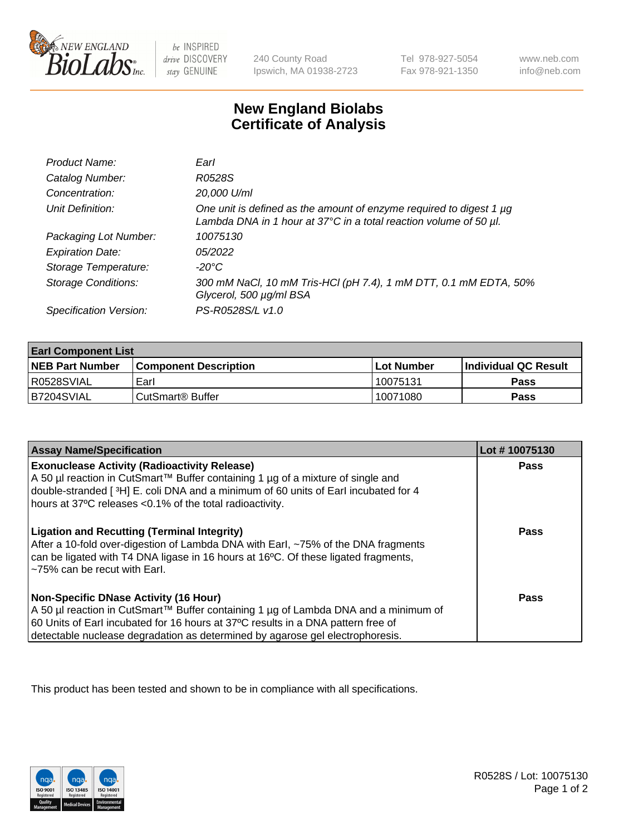

 $be$  INSPIRED drive DISCOVERY stay GENUINE

240 County Road Ipswich, MA 01938-2723 Tel 978-927-5054 Fax 978-921-1350 www.neb.com info@neb.com

## **New England Biolabs Certificate of Analysis**

| Product Name:              | Earl                                                                                                                                                    |
|----------------------------|---------------------------------------------------------------------------------------------------------------------------------------------------------|
| Catalog Number:            | R0528S                                                                                                                                                  |
| Concentration:             | 20,000 U/ml                                                                                                                                             |
| Unit Definition:           | One unit is defined as the amount of enzyme required to digest 1 µg<br>Lambda DNA in 1 hour at $37^{\circ}$ C in a total reaction volume of 50 $\mu$ l. |
| Packaging Lot Number:      | 10075130                                                                                                                                                |
| <b>Expiration Date:</b>    | 05/2022                                                                                                                                                 |
| Storage Temperature:       | $-20^{\circ}$ C                                                                                                                                         |
| <b>Storage Conditions:</b> | 300 mM NaCl, 10 mM Tris-HCl (pH 7.4), 1 mM DTT, 0.1 mM EDTA, 50%<br>Glycerol, 500 µg/ml BSA                                                             |
| Specification Version:     | PS-R0528S/L v1.0                                                                                                                                        |

| <b>Earl Component List</b> |                              |              |                        |  |
|----------------------------|------------------------------|--------------|------------------------|--|
| <b>NEB Part Number</b>     | <b>Component Description</b> | l Lot Number | l Individual QC Result |  |
| R0528SVIAL                 | Earl                         | 10075131     | Pass                   |  |
| I B7204SVIAL               | CutSmart <sup>®</sup> Buffer | 10071080     | Pass                   |  |

| <b>Assay Name/Specification</b>                                                                                                                                                                                                                                                                                           | Lot #10075130 |
|---------------------------------------------------------------------------------------------------------------------------------------------------------------------------------------------------------------------------------------------------------------------------------------------------------------------------|---------------|
| <b>Exonuclease Activity (Radioactivity Release)</b><br>A 50 µl reaction in CutSmart™ Buffer containing 1 µg of a mixture of single and<br>double-stranded [3H] E. coli DNA and a minimum of 60 units of Earl incubated for 4                                                                                              | <b>Pass</b>   |
| hours at 37°C releases <0.1% of the total radioactivity.<br><b>Ligation and Recutting (Terminal Integrity)</b><br>After a 10-fold over-digestion of Lambda DNA with Earl, ~75% of the DNA fragments<br>can be ligated with T4 DNA ligase in 16 hours at 16°C. Of these ligated fragments,<br>~75% can be recut with Earl. | Pass          |
| Non-Specific DNase Activity (16 Hour)<br>  A 50 µl reaction in CutSmart™ Buffer containing 1 µg of Lambda DNA and a minimum of<br>60 Units of Earl incubated for 16 hours at 37°C results in a DNA pattern free of<br>detectable nuclease degradation as determined by agarose gel electrophoresis.                       | Pass          |

This product has been tested and shown to be in compliance with all specifications.